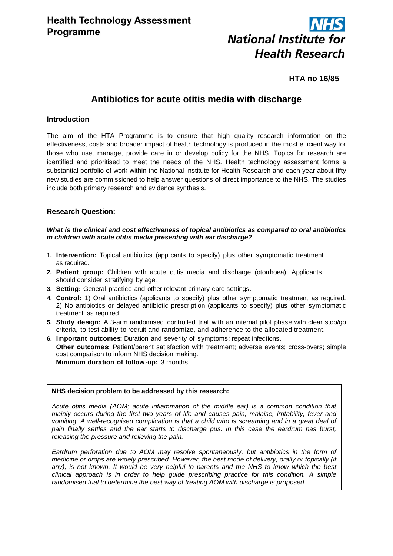

# **HTA no 16/85**

# **Antibiotics for acute otitis media with discharge**

# **Introduction**

The aim of the HTA Programme is to ensure that high quality research information on the effectiveness, costs and broader impact of health technology is produced in the most efficient way for those who use, manage, provide care in or develop policy for the NHS. Topics for research are identified and prioritised to meet the needs of the NHS. Health technology assessment forms a substantial portfolio of work within the National Institute for Health Research and each year about fifty new studies are commissioned to help answer questions of direct importance to the NHS. The studies include both primary research and evidence synthesis.

# **Research Question:**

#### *What is the clinical and cost effectiveness of topical antibiotics as compared to oral antibiotics in children with acute otitis media presenting with ear discharge?*

- **1. Intervention:** Topical antibiotics (applicants to specify) plus other symptomatic treatment as required.
- **2. Patient group:** Children with acute otitis media and discharge (otorrhoea). Applicants should consider stratifying by age.
- **3. Setting:** General practice and other relevant primary care settings.
- **4. Control:** 1) Oral antibiotics (applicants to specify) plus other symptomatic treatment as required. 2) No antibiotics or delayed antibiotic prescription (applicants to specify) plus other symptomatic treatment as required.
- **5. Study design:** A 3-arm randomised controlled trial with an internal pilot phase with clear stop/go criteria, to test ability to recruit and randomize, and adherence to the allocated treatment.
- **6. Important outcomes:** Duration and severity of symptoms; repeat infections. **Other outcomes:** Patient/parent satisfaction with treatment; adverse events; cross-overs; simple cost comparison to inform NHS decision making. **Minimum duration of follow-up:** 3 months.

#### **NHS decision problem to be addressed by this research:**

*Acute otitis media (AOM; acute inflammation of the middle ear) is a common condition that mainly occurs during the first two years of life and causes pain, malaise, irritability, fever and vomiting. A well-recognised complication is that a child who is screaming and in a great deal of pain finally settles and the ear starts to discharge pus. In this case the eardrum has burst, releasing the pressure and relieving the pain.*

*Eardrum perforation due to AOM may resolve spontaneously, but antibiotics in the form of medicine or drops are widely prescribed. However, the best mode of delivery, orally or topically (if*  any), is not known. It would be very helpful to parents and the NHS to know which the best *clinical approach is in order to help guide prescribing practice for this condition. A simple randomised trial to determine the best way of treating AOM with discharge is proposed*.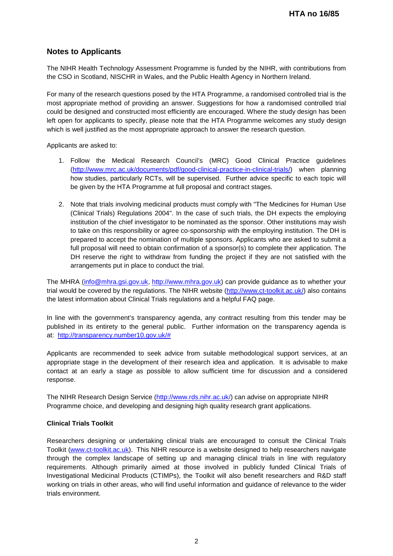# **Notes to Applicants**

The NIHR Health Technology Assessment Programme is funded by the NIHR, with contributions from the CSO in Scotland, NISCHR in Wales, and the Public Health Agency in Northern Ireland.

For many of the research questions posed by the HTA Programme, a randomised controlled trial is the most appropriate method of providing an answer. Suggestions for how a randomised controlled trial could be designed and constructed most efficiently are encouraged. Where the study design has been left open for applicants to specify, please note that the HTA Programme welcomes any study design which is well justified as the most appropriate approach to answer the research question.

Applicants are asked to:

- 1. Follow the Medical Research Council's (MRC) Good Clinical Practice guidelines [\(http://www.mrc.ac.uk/documents/pdf/good-clinical-practice-in-clinical-trials/\)](http://www.mrc.ac.uk/documents/pdf/good-clinical-practice-in-clinical-trials/) when planning how studies, particularly RCTs, will be supervised. Further advice specific to each topic will be given by the HTA Programme at full proposal and contract stages.
- 2. Note that trials involving medicinal products must comply with "The Medicines for Human Use (Clinical Trials) Regulations 2004". In the case of such trials, the DH expects the employing institution of the chief investigator to be nominated as the sponsor. Other institutions may wish to take on this responsibility or agree co-sponsorship with the employing institution. The DH is prepared to accept the nomination of multiple sponsors. Applicants who are asked to submit a full proposal will need to obtain confirmation of a sponsor(s) to complete their application. The DH reserve the right to withdraw from funding the project if they are not satisfied with the arrangements put in place to conduct the trial.

The MHRA [\(info@mhra.gsi.gov.uk,](mailto:info@mhra.gsi.gov.uk) [http://www.mhra.gov.uk\)](http://www.mhra.gov.uk/) can provide guidance as to whether your trial would be covered by the regulations. The NIHR website [\(http://www.ct-toolkit.ac.uk/\)](http://www.ct-toolkit.ac.uk/) also contains the latest information about Clinical Trials regulations and a helpful FAQ page.

In line with the government's transparency agenda, any contract resulting from this tender may be published in its entirety to the general public. Further information on the transparency agenda is at: [http://transparency.number10.gov.uk/#](http://transparency.number10.gov.uk/)

Applicants are recommended to seek advice from suitable methodological support services, at an appropriate stage in the development of their research idea and application. It is advisable to make contact at an early a stage as possible to allow sufficient time for discussion and a considered response.

The NIHR Research Design Service [\(http://www.rds.nihr.ac.uk/\)](http://www.rds.nihr.ac.uk/) can advise on appropriate NIHR Programme choice, and developing and designing high quality research grant applications.

### **Clinical Trials Toolkit**

Researchers designing or undertaking clinical trials are encouraged to consult the Clinical Trials Toolkit [\(www.ct-toolkit.ac.uk\)](http://www.ct-toolkit.ac.uk/home). This NIHR resource is a website designed to help researchers navigate through the complex landscape of setting up and managing clinical trials in line with regulatory requirements. Although primarily aimed at those involved in publicly funded Clinical Trials of Investigational Medicinal Products (CTIMPs), the Toolkit will also benefit researchers and R&D staff working on trials in other areas, who will find useful information and guidance of relevance to the wider trials environment.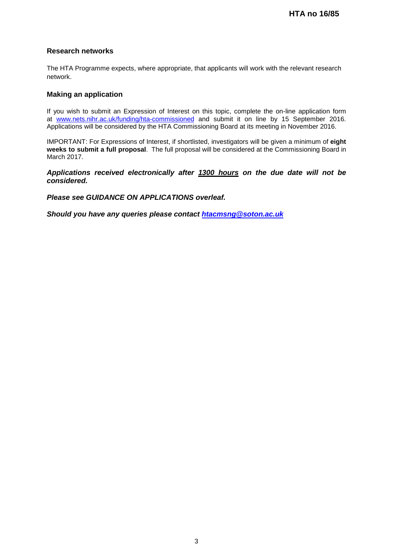# **Research networks**

The HTA Programme expects, where appropriate, that applicants will work with the relevant research network.

# **Making an application**

If you wish to submit an Expression of Interest on this topic, complete the on-line application form at [www.nets.nihr.ac.uk/funding/hta-commissioned](http://www.nets.nihr.ac.uk/funding/hta-commissioned) and submit it on line by 15 September 2016. Applications will be considered by the HTA Commissioning Board at its meeting in November 2016.

IMPORTANT: For Expressions of Interest, if shortlisted, investigators will be given a minimum of **eight weeks to submit a full proposal**. The full proposal will be considered at the Commissioning Board in March 2017.

*Applications received electronically after 1300 hours on the due date will not be considered.*

*Please see GUIDANCE ON APPLICATIONS overleaf.*

*Should you have any queries please contact [htacmsng@soton.ac.uk](mailto:htacmsng@soton.ac.uk)*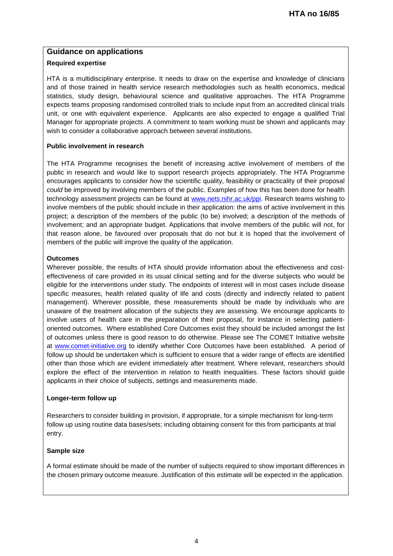# **Guidance on applications**

# **Required expertise**

HTA is a multidisciplinary enterprise. It needs to draw on the expertise and knowledge of clinicians and of those trained in health service research methodologies such as health economics, medical statistics, study design, behavioural science and qualitative approaches. The HTA Programme expects teams proposing randomised controlled trials to include input from an accredited clinical trials unit, or one with equivalent experience. Applicants are also expected to engage a qualified Trial Manager for appropriate projects. A commitment to team working must be shown and applicants may wish to consider a collaborative approach between several institutions.

# **Public involvement in research**

The HTA Programme recognises the benefit of increasing active involvement of members of the public in research and would like to support research projects appropriately. The HTA Programme encourages applicants to consider *how* the scientific quality, feasibility or practicality of their proposal *could* be improved by involving members of the public. Examples of how this has been done for health technology assessment projects can be found at [www.nets.nihr.ac.uk/ppi.](http://www.nets.nihr.ac.uk/ppi) Research teams wishing to involve members of the public should include in their application: the aims of active involvement in this project; a description of the members of the public (to be) involved; a description of the methods of involvement; and an appropriate budget. Applications that involve members of the public will not, for that reason alone, be favoured over proposals that do not but it is hoped that the involvement of members of the public will improve the quality of the application.

# **Outcomes**

Wherever possible, the results of HTA should provide information about the effectiveness and costeffectiveness of care provided in its usual clinical setting and for the diverse subjects who would be eligible for the interventions under study. The endpoints of interest will in most cases include disease specific measures, health related quality of life and costs (directly and indirectly related to patient management). Wherever possible, these measurements should be made by individuals who are unaware of the treatment allocation of the subjects they are assessing. We encourage applicants to involve users of health care in the preparation of their proposal, for instance in selecting patientoriented outcomes. Where established Core Outcomes exist they should be included amongst the list of outcomes unless there is good reason to do otherwise. Please see The COMET Initiative website at [www.comet-initiative.org](http://www.comet-initiative.org/) to identify whether Core Outcomes have been established. A period of follow up should be undertaken which is sufficient to ensure that a wider range of effects are identified other than those which are evident immediately after treatment. Where relevant, researchers should explore the effect of the intervention in relation to health inequalities. These factors should guide applicants in their choice of subjects, settings and measurements made.

### **Longer-term follow up**

Researchers to consider building in provision, if appropriate, for a simple mechanism for long-term follow up using routine data bases/sets; including obtaining consent for this from participants at trial entry.

# **Sample size**

A formal estimate should be made of the number of subjects required to show important differences in the chosen primary outcome measure. Justification of this estimate will be expected in the application.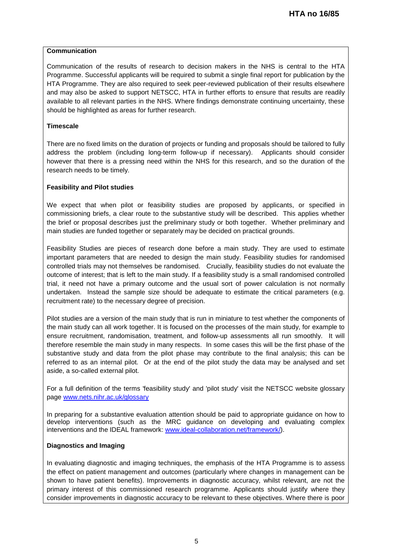# **Communication**

Communication of the results of research to decision makers in the NHS is central to the HTA Programme. Successful applicants will be required to submit a single final report for publication by the HTA Programme. They are also required to seek peer-reviewed publication of their results elsewhere and may also be asked to support NETSCC, HTA in further efforts to ensure that results are readily available to all relevant parties in the NHS. Where findings demonstrate continuing uncertainty, these should be highlighted as areas for further research.

# **Timescale**

There are no fixed limits on the duration of projects or funding and proposals should be tailored to fully address the problem (including long-term follow-up if necessary). Applicants should consider however that there is a pressing need within the NHS for this research, and so the duration of the research needs to be timely.

# **Feasibility and Pilot studies**

We expect that when pilot or feasibility studies are proposed by applicants, or specified in commissioning briefs, a clear route to the substantive study will be described. This applies whether the brief or proposal describes just the preliminary study or both together. Whether preliminary and main studies are funded together or separately may be decided on practical grounds.

Feasibility Studies are pieces of research done before a main study. They are used to estimate important parameters that are needed to design the main study. Feasibility studies for randomised controlled trials may not themselves be randomised. Crucially, feasibility studies do not evaluate the outcome of interest; that is left to the main study. If a feasibility study is a small randomised controlled trial, it need not have a primary outcome and the usual sort of power calculation is not normally undertaken. Instead the sample size should be adequate to estimate the critical parameters (e.g. recruitment rate) to the necessary degree of precision.

Pilot studies are a version of the main study that is run in miniature to test whether the components of the main study can all work together. It is focused on the processes of the main study, for example to ensure recruitment, randomisation, treatment, and follow-up assessments all run smoothly. It will therefore resemble the main study in many respects. In some cases this will be the first phase of the substantive study and data from the pilot phase may contribute to the final analysis; this can be referred to as an internal pilot. Or at the end of the pilot study the data may be analysed and set aside, a so-called external pilot.

For a full definition of the terms 'feasibility study' and 'pilot study' visit the NETSCC website glossary page [www.nets.nihr.ac.uk/glossary](http://www.nets.nihr.ac.uk/glossary)

In preparing for a substantive evaluation attention should be paid to appropriate guidance on how to develop interventions (such as the MRC guidance on developing and evaluating complex interventions and the IDEAL framework: [www.ideal-collaboration.net/framework/\)](http://www.ideal-collaboration.net/framework/).

### **Diagnostics and Imaging**

In evaluating diagnostic and imaging techniques, the emphasis of the HTA Programme is to assess the effect on patient management and outcomes (particularly where changes in management can be shown to have patient benefits). Improvements in diagnostic accuracy, whilst relevant, are not the primary interest of this commissioned research programme. Applicants should justify where they consider improvements in diagnostic accuracy to be relevant to these objectives. Where there is poor